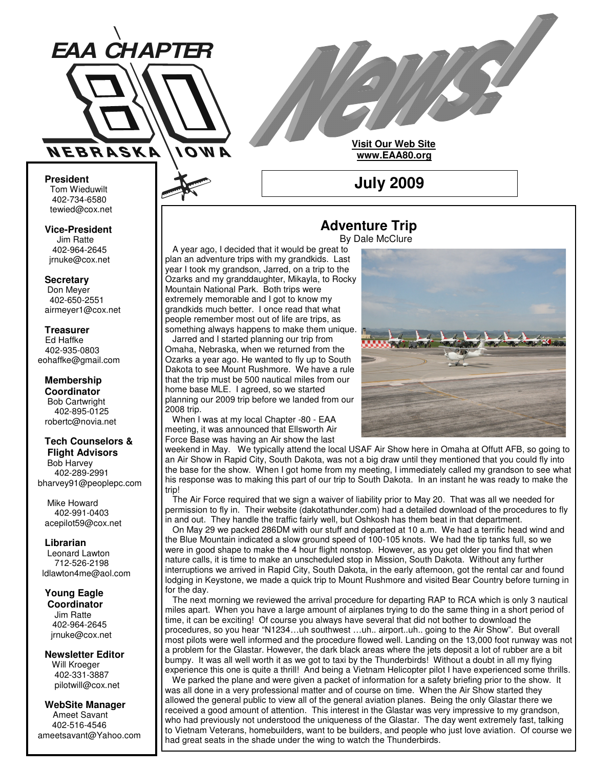

**Visit Our Web Site www.EAA80.org**

**July 2009**

## **Adventure Trip**

By Dale McClure

A year ago, I decided that it would be great to plan an adventure trips with my grandkids. Last year I took my grandson, Jarred, on a trip to the Ozarks and my granddaughter, Mikayla, to Rocky Mountain National Park. Both trips were extremely memorable and I got to know my grandkids much better. I once read that what people remember most out of life are trips, as something always happens to make them unique.

Jarred and I started planning our trip from Omaha, Nebraska, when we returned from the Ozarks a year ago. He wanted to fly up to South Dakota to see Mount Rushmore. We have a rule that the trip must be 500 nautical miles from our home base MLE. I agreed, so we started planning our 2009 trip before we landed from our 2008 trip.

When I was at my local Chapter -80 - EAA meeting, it was announced that Ellsworth Air Force Base was having an Air show the last

weekend in May. We typically attend the local USAF Air Show here in Omaha at Offutt AFB, so going to an Air Show in Rapid City, South Dakota, was not a big draw until they mentioned that you could fly into the base for the show. When I got home from my meeting, I immediately called my grandson to see what his response was to making this part of our trip to South Dakota. In an instant he was ready to make the trip!

The Air Force required that we sign a waiver of liability prior to May 20. That was all we needed for permission to fly in. Their website (dakotathunder.com) had a detailed download of the procedures to fly in and out. They handle the traffic fairly well, but Oshkosh has them beat in that department.

On May 29 we packed 286DM with our stuff and departed at 10 a.m. We had a terrific head wind and the Blue Mountain indicated a slow ground speed of 100-105 knots. We had the tip tanks full, so we were in good shape to make the 4 hour flight nonstop. However, as you get older you find that when nature calls, it is time to make an unscheduled stop in Mission, South Dakota. Without any further interruptions we arrived in Rapid City, South Dakota, in the early afternoon, got the rental car and found lodging in Keystone, we made a quick trip to Mount Rushmore and visited Bear Country before turning in for the day.

The next morning we reviewed the arrival procedure for departing RAP to RCA which is only 3 nautical miles apart. When you have a large amount of airplanes trying to do the same thing in a short period of time, it can be exciting! Of course you always have several that did not bother to download the procedures, so you hear "N1234…uh southwest …uh.. airport..uh.. going to the Air Show". But overall most pilots were well informed and the procedure flowed well. Landing on the 13,000 foot runway was not a problem for the Glastar. However, the dark black areas where the jets deposit a lot of rubber are a bit bumpy. It was all well worth it as we got to taxi by the Thunderbirds! Without a doubt in all my flying experience this one is quite a thrill! And being a Vietnam Helicopter pilot I have experienced some thrills.

We parked the plane and were given a packet of information for a safety briefing prior to the show. It was all done in a very professional matter and of course on time. When the Air Show started they allowed the general public to view all of the general aviation planes. Being the only Glastar there we received a good amount of attention. This interest in the Glastar was very impressive to my grandson, who had previously not understood the uniqueness of the Glastar. The day went extremely fast, talking to Vietnam Veterans, homebuilders, want to be builders, and people who just love aviation. Of course we had great seats in the shade under the wing to watch the Thunderbirds.

**President** Tom Wieduwilt 402-734-6580 tewied@cox.net

**Vice-President** Jim Ratte 402-964-2645 jrnuke@cox.net

**Secretary**

Don Meyer 402-650-2551 airmeyer1@cox.net

**Treasurer** Ed Haffke 402-935-0803 eohaffke@gmail.com

**Membership Coordinator** Bob Cartwright 402-895-0125 robertc@novia.net

#### **Tech Counselors & Flight Advisors**

Bob Harvey 402-289-2991 bharvey91@peoplepc.com

Mike Howard 402-991-0403 acepilot59@cox.net

**Librarian**

Leonard Lawton 712-526-2198 ldlawton4me@aol.com

**Young Eagle**

**Coordinator** Jim Ratte 402-964-2645 jrnuke@cox.net

## **Newsletter Editor**

Will Kroeger 402-331-3887 pilotwill@cox.net

**WebSite Manager** Ameet Savant 402-516-4546 ameetsavant@Yahoo.com

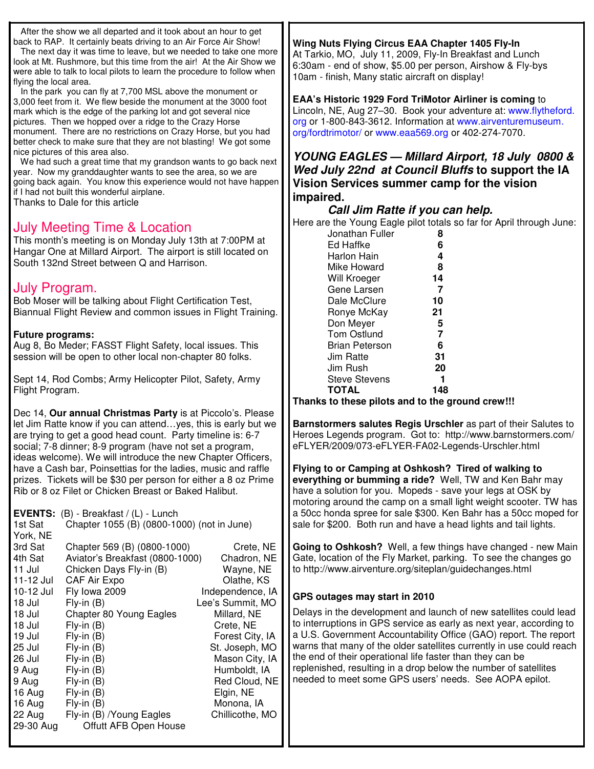After the show we all departed and it took about an hour to get back to RAP. It certainly beats driving to an Air Force Air Show!

The next day it was time to leave, but we needed to take one more look at Mt. Rushmore, but this time from the air! At the Air Show we were able to talk to local pilots to learn the procedure to follow when flying the local area.

In the park you can fly at 7,700 MSL above the monument or 3,000 feet from it. We flew beside the monument at the 3000 foot mark which is the edge of the parking lot and got several nice pictures. Then we hopped over a ridge to the Crazy Horse monument. There are no restrictions on Crazy Horse, but you had better check to make sure that they are not blasting! We got some nice pictures of this area also.

We had such a great time that my grandson wants to go back next year. Now my granddaughter wants to see the area, so we are going back again. You know this experience would not have happen if I had not built this wonderful airplane.

Thanks to Dale for this article

# July Meeting Time & Location

This month's meeting is on Monday July 13th at 7:00PM at Hangar One at Millard Airport. The airport is still located on South 132nd Street between Q and Harrison.

# July Program.

Bob Moser will be talking about Flight Certification Test, Biannual Flight Review and common issues in Flight Training.

### **Future programs:**

Aug 8, Bo Meder; FASST Flight Safety, local issues. This session will be open to other local non-chapter 80 folks.

Sept 14, Rod Combs; Army Helicopter Pilot, Safety, Army Flight Program.

Dec 14, **Our annual Christmas Party** is at Piccolo's. Please let Jim Ratte know if you can attend…yes, this is early but we are trying to get a good head count. Party timeline is: 6-7 social; 7-8 dinner; 8-9 program (have not set a program, ideas welcome). We will introduce the new Chapter Officers, have a Cash bar, Poinsettias for the ladies, music and raffle prizes. Tickets will be \$30 per person for either a 8 oz Prime Rib or 8 oz Filet or Chicken Breast or Baked Halibut.

**EVENTS:** (B) - Breakfast / (L) - Lunch

| 1st Sat   | Chapter 1055 (B) (0800-1000) (not in June) |                  |
|-----------|--------------------------------------------|------------------|
| York, NE  |                                            |                  |
| 3rd Sat   | Chapter 569 (B) (0800-1000)                | Crete, NE        |
| 4th Sat   | Aviator's Breakfast (0800-1000)            | Chadron, NE      |
| 11 Jul    | Chicken Days Fly-in (B)                    | Wayne, NE        |
| 11-12 Jul | CAF Air Expo                               | Olathe, KS       |
| 10-12 Jul | Fly Iowa 2009                              | Independence, IA |
| 18 Jul    | $Fly-in(B)$                                | Lee's Summit, MO |
| 18 Jul    | Chapter 80 Young Eagles                    | Millard, NE      |
| 18 Jul    | $Fly-in(B)$                                | Crete, NE        |
| 19 Jul    | $Fly-in(B)$                                | Forest City, IA  |
| 25 Jul    | Fly-in (B)                                 | St. Joseph, MO   |
| 26 Jul    | $Fly-in(B)$                                | Mason City, IA   |
| 9 Aug     | $Fly-in(B)$                                | Humboldt, IA     |
| 9 Aug     | $Fly-in(B)$                                | Red Cloud, NE    |
| 16 Aug    | $Fly-in(B)$                                | Elgin, NE        |
| 16 Aug    | $Fly-in(B)$                                | Monona, IA       |
| 22 Aug    | Fly-in (B) / Young Eagles                  | Chillicothe, MO  |
| 29-30 Aug | Offutt AFB Open House                      |                  |
|           |                                            |                  |

## **Wing Nuts Flying Circus EAA Chapter 1405 Fly-In**

At Tarkio, MO, July 11, 2009, Fly-In Breakfast and Lunch 6:30am - end of show, \$5.00 per person, Airshow & Fly-bys 10am - finish, Many static aircraft on display!

**EAA's Historic 1929 Ford TriMotor Airliner is coming** to Lincoln, NE, Aug 27–30. Book your adventure at: www.flytheford. org or 1-800-843-3612. Information at www.airventuremuseum. org/fordtrimotor/ or www.eaa569.org or 402-274-7070.

## *YOUNG EAGLES — Millard Airport, 18 July 0800 & Wed July 22nd at Council Bluffs* **to support the IA Vision Services summer camp for the vision impaired.**

## *Call Jim Ratte if you can help.*

Here are the Young Eagle pilot totals so far for April through June:

| Jonathan Fuller                       | 8   |  |
|---------------------------------------|-----|--|
| Ed Haffke                             | 6   |  |
| Harlon Hain                           | 4   |  |
| Mike Howard                           | 8   |  |
| Will Kroeger                          | 14  |  |
| Gene Larsen                           | 7   |  |
| Dale McClure                          | 10  |  |
| Ronye McKay                           | 21  |  |
| Don Meyer                             | 5   |  |
| <b>Tom Ostlund</b>                    | 7   |  |
| Brian Peterson                        | 6   |  |
| Jim Ratte                             | 31  |  |
| Jim Rush                              | 20  |  |
| <b>Steve Stevens</b>                  | 1   |  |
| <b>TOTAL</b>                          | 148 |  |
| anke to thoeo nilote and to tho arour |     |  |

**Thanks to these pilots and to the ground crew!!!**

**Barnstormers salutes Regis Urschler** as part of their Salutes to Heroes Legends program. Got to: http://www.barnstormers.com/ eFLYER/2009/073-eFLYER-FA02-Legends-Urschler.html

**Flying to or Camping at Oshkosh? Tired of walking to everything or bumming a ride?** Well, TW and Ken Bahr may have a solution for you. Mopeds - save your legs at OSK by motoring around the camp on a small light weight scooter. TW has a 50cc honda spree for sale \$300. Ken Bahr has a 50cc moped for sale for \$200. Both run and have a head lights and tail lights.

**Going to Oshkosh?** Well, a few things have changed - new Main Gate, location of the Fly Market, parking. To see the changes go to http://www.airventure.org/siteplan/guidechanges.html

### **GPS outages may start in 2010**

Delays in the development and launch of new satellites could lead to interruptions in GPS service as early as next year, according to a U.S. Government Accountability Office (GAO) report. The report warns that many of the older satellites currently in use could reach the end of their operational life faster than they can be replenished, resulting in a drop below the number of satellites needed to meet some GPS users' needs. See AOPA epilot.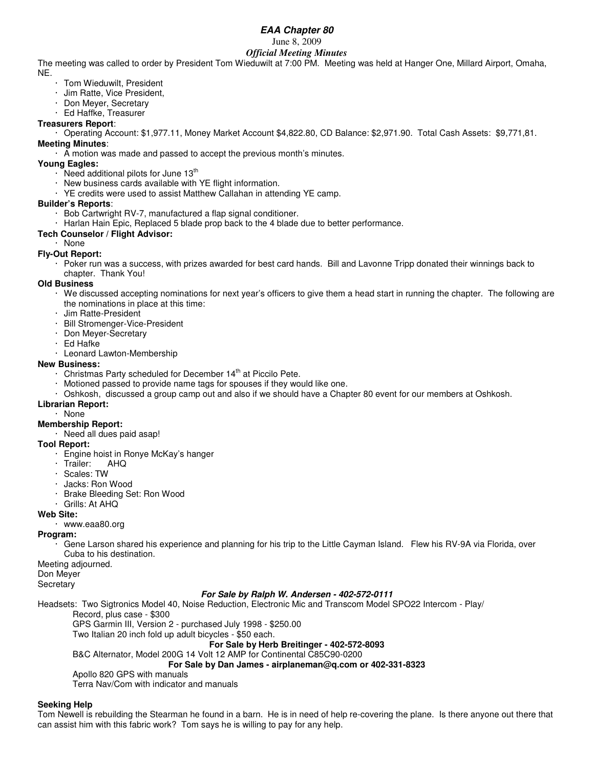### *EAA Chapter 80*

June 8, 2009

#### *Official Meeting Minutes*

The meeting was called to order by President Tom Wieduwilt at 7:00 PM. Meeting was held at Hanger One, Millard Airport, Omaha, NE.

- · Tom Wieduwilt, President
- · Jim Ratte, Vice President,
- · Don Meyer, Secretary
- · Ed Haffke, Treasurer

#### **Treasurers Report**:

· Operating Account: \$1,977.11, Money Market Account \$4,822.80, CD Balance: \$2,971.90. Total Cash Assets: \$9,771,81.

### **Meeting Minutes**:

· A motion was made and passed to accept the previous month's minutes.

#### **Young Eagles:**

- $\cdot$  Need additional pilots for June 13<sup>th</sup>
- · New business cards available with YE flight information.
- · YE credits were used to assist Matthew Callahan in attending YE camp.

#### **Builder's Reports**:

- · Bob Cartwright RV-7, manufactured a flap signal conditioner.
- · Harlan Hain Epic, Replaced 5 blade prop back to the 4 blade due to better performance.

#### **Tech Counselor / Flight Advisor:**

· None

#### **Fly-Out Report:**

· Poker run was a success, with prizes awarded for best card hands. Bill and Lavonne Tripp donated their winnings back to chapter. Thank You!

#### **Old Business**

- · We discussed accepting nominations for next year's officers to give them a head start in running the chapter. The following are the nominations in place at this time:
- · Jim Ratte-President
- · Bill Stromenger-Vice-President
- · Don Meyer-Secretary
- · Ed Hafke
- · Leonard Lawton-Membership

#### **New Business:**

- · Christmas Party scheduled for December 14<sup>th</sup> at Piccilo Pete.
- Motioned passed to provide name tags for spouses if they would like one.
- Oshkosh, discussed a group camp out and also if we should have a Chapter 80 event for our members at Oshkosh.

#### **Librarian Report:**

· None

#### **Membership Report:**

· Need all dues paid asap!

#### **Tool Report:**

- · Engine hoist in Ronye McKay's hanger
- · Trailer: AHQ
- · Scales: TW
- · Jacks: Ron Wood
- · Brake Bleeding Set: Ron Wood
- · Grills: At AHQ

#### **Web Site:**

#### · www.eaa80.org

**Program:**

Gene Larson shared his experience and planning for his trip to the Little Cayman Island. Flew his RV-9A via Florida, over Cuba to his destination.

Meeting adjourned.

Don Meyer

**Secretary** 

#### *For Sale by Ralph W. Andersen - 402-572-0111*

Headsets: Two Sigtronics Model 40, Noise Reduction, Electronic Mic and Transcom Model SPO22 Intercom - Play/

Record, plus case - \$300

GPS Garmin III, Version 2 - purchased July 1998 - \$250.00

Two Italian 20 inch fold up adult bicycles - \$50 each.

### **For Sale by Herb Breitinger - 402-572-8093**

#### B&C Alternator, Model 200G 14 Volt 12 AMP for Continental C85C90-0200

#### **For Sale by Dan James - airplaneman@q.com or 402-331-8323**

Apollo 820 GPS with manuals

Terra Nav/Com with indicator and manuals

#### **Seeking Help**

Tom Newell is rebuilding the Stearman he found in a barn. He is in need of help re-covering the plane. Is there anyone out there that can assist him with this fabric work? Tom says he is willing to pay for any help.